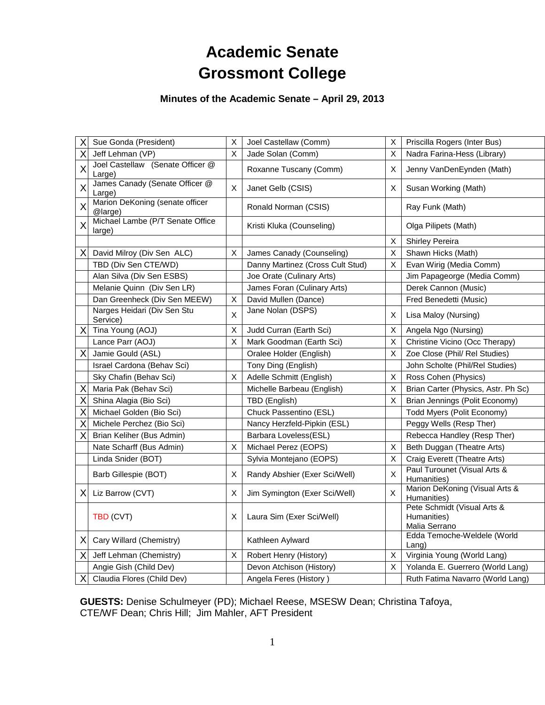# **Academic Senate Grossmont College**

## **Minutes of the Academic Senate – April 29, 2013**

| X | Sue Gonda (President)                      | X  | Joel Castellaw (Comm)            | Χ | Priscilla Rogers (Inter Bus)                                |
|---|--------------------------------------------|----|----------------------------------|---|-------------------------------------------------------------|
| Χ | Jeff Lehman (VP)                           | X  | Jade Solan (Comm)                | X | Nadra Farina-Hess (Library)                                 |
| X | Joel Castellaw (Senate Officer @<br>Large) |    | Roxanne Tuscany (Comm)           | X | Jenny VanDenEynden (Math)                                   |
| X | James Canady (Senate Officer @<br>Large)   | X. | Janet Gelb (CSIS)                | X | Susan Working (Math)                                        |
| X | Marion DeKoning (senate officer<br>@large) |    | Ronald Norman (CSIS)             |   | Ray Funk (Math)                                             |
| X | Michael Lambe (P/T Senate Office<br>large) |    | Kristi Kluka (Counseling)        |   | Olga Pilipets (Math)                                        |
|   |                                            |    |                                  | Χ | Shirley Pereira                                             |
| Χ | David Milroy (Div Sen ALC)                 | X  | James Canady (Counseling)        | X | Shawn Hicks (Math)                                          |
|   | TBD (Div Sen CTE/WD)                       |    | Danny Martinez (Cross Cult Stud) | X | Evan Wirig (Media Comm)                                     |
|   | Alan Silva (Div Sen ESBS)                  |    | Joe Orate (Culinary Arts)        |   | Jim Papageorge (Media Comm)                                 |
|   | Melanie Quinn (Div Sen LR)                 |    | James Foran (Culinary Arts)      |   | Derek Cannon (Music)                                        |
|   | Dan Greenheck (Div Sen MEEW)               | X. | David Mullen (Dance)             |   | Fred Benedetti (Music)                                      |
|   | Narges Heidari (Div Sen Stu<br>Service)    | X  | Jane Nolan (DSPS)                | X | Lisa Maloy (Nursing)                                        |
| X | Tina Young (AOJ)                           | X  | Judd Curran (Earth Sci)          | X | Angela Ngo (Nursing)                                        |
|   | Lance Parr (AOJ)                           | X  | Mark Goodman (Earth Sci)         | X | Christine Vicino (Occ Therapy)                              |
| X | Jamie Gould (ASL)                          |    | Oralee Holder (English)          | X | Zoe Close (Phil/ Rel Studies)                               |
|   | Israel Cardona (Behav Sci)                 |    | Tony Ding (English)              |   | John Scholte (Phil/Rel Studies)                             |
|   | Sky Chafin (Behav Sci)                     | X  | Adelle Schmitt (English)         | X | Ross Cohen (Physics)                                        |
| Χ | Maria Pak (Behav Sci)                      |    | Michelle Barbeau (English)       | X | Brian Carter (Physics, Astr. Ph Sc)                         |
| Χ | Shina Alagia (Bio Sci)                     |    | TBD (English)                    | X | Brian Jennings (Polit Economy)                              |
| Χ | Michael Golden (Bio Sci)                   |    | Chuck Passentino (ESL)           |   | Todd Myers (Polit Economy)                                  |
| X | Michele Perchez (Bio Sci)                  |    | Nancy Herzfeld-Pipkin (ESL)      |   | Peggy Wells (Resp Ther)                                     |
| х | Brian Keliher (Bus Admin)                  |    | Barbara Loveless(ESL)            |   | Rebecca Handley (Resp Ther)                                 |
|   | Nate Scharff (Bus Admin)                   | X. | Michael Perez (EOPS)             | Χ | Beth Duggan (Theatre Arts)                                  |
|   | Linda Snider (BOT)                         |    | Sylvia Montejano (EOPS)          | X | Craig Everett (Theatre Arts)                                |
|   | Barb Gillespie (BOT)                       | X  | Randy Abshier (Exer Sci/Well)    | X | Paul Turounet (Visual Arts &<br>Humanities)                 |
| X | Liz Barrow (CVT)                           | X  | Jim Symington (Exer Sci/Well)    | X | Marion DeKoning (Visual Arts &<br>Humanities)               |
|   | TBD (CVT)                                  | X  | Laura Sim (Exer Sci/Well)        |   | Pete Schmidt (Visual Arts &<br>Humanities)<br>Malia Serrano |
| X | Cary Willard (Chemistry)                   |    | Kathleen Aylward                 |   | Edda Temoche-Weldele (World<br>$L$ ang)                     |
| X | Jeff Lehman (Chemistry)                    | X  | Robert Henry (History)           | X | Virginia Young (World Lang)                                 |
|   | Angie Gish (Child Dev)                     |    | Devon Atchison (History)         | X | Yolanda E. Guerrero (World Lang)                            |
| х | Claudia Flores (Child Dev)                 |    | Angela Feres (History)           |   | Ruth Fatima Navarro (World Lang)                            |

**GUESTS:** Denise Schulmeyer (PD); Michael Reese, MSESW Dean; Christina Tafoya, CTE/WF Dean; Chris Hill; Jim Mahler, AFT President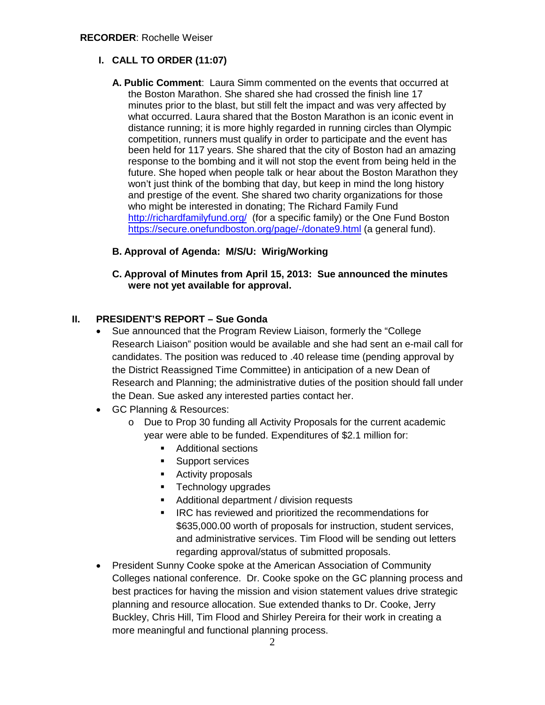## **I. CALL TO ORDER (11:07)**

**A. Public Comment**: Laura Simm commented on the events that occurred at the Boston Marathon. She shared she had crossed the finish line 17 minutes prior to the blast, but still felt the impact and was very affected by what occurred. Laura shared that the Boston Marathon is an iconic event in distance running; it is more highly regarded in running circles than Olympic competition, runners must qualify in order to participate and the event has been held for 117 years. She shared that the city of Boston had an amazing response to the bombing and it will not stop the event from being held in the future. She hoped when people talk or hear about the Boston Marathon they won't just think of the bombing that day, but keep in mind the long history and prestige of the event. She shared two charity organizations for those who might be interested in donating; The Richard Family Fund <http://richardfamilyfund.org/>(for a specific family) or the One Fund Boston <https://secure.onefundboston.org/page/-/donate9.html> (a general fund).

## **B. Approval of Agenda: M/S/U: Wirig/Working**

**C. Approval of Minutes from April 15, 2013: Sue announced the minutes were not yet available for approval.**

### **II. PRESIDENT'S REPORT – Sue Gonda**

- Sue announced that the Program Review Liaison, formerly the "College Research Liaison" position would be available and she had sent an e-mail call for candidates. The position was reduced to .40 release time (pending approval by the District Reassigned Time Committee) in anticipation of a new Dean of Research and Planning; the administrative duties of the position should fall under the Dean. Sue asked any interested parties contact her.
- GC Planning & Resources:
	- o Due to Prop 30 funding all Activity Proposals for the current academic year were able to be funded. Expenditures of \$2.1 million for:
		- **Additional sections**
		- **Support services**
		- **Activity proposals**
		- **Technology upgrades**
		- Additional department / division requests
		- **IRC has reviewed and prioritized the recommendations for** \$635,000.00 worth of proposals for instruction, student services, and administrative services. Tim Flood will be sending out letters regarding approval/status of submitted proposals.
- President Sunny Cooke spoke at the American Association of Community Colleges national conference. Dr. Cooke spoke on the GC planning process and best practices for having the mission and vision statement values drive strategic planning and resource allocation. Sue extended thanks to Dr. Cooke, Jerry Buckley, Chris Hill, Tim Flood and Shirley Pereira for their work in creating a more meaningful and functional planning process.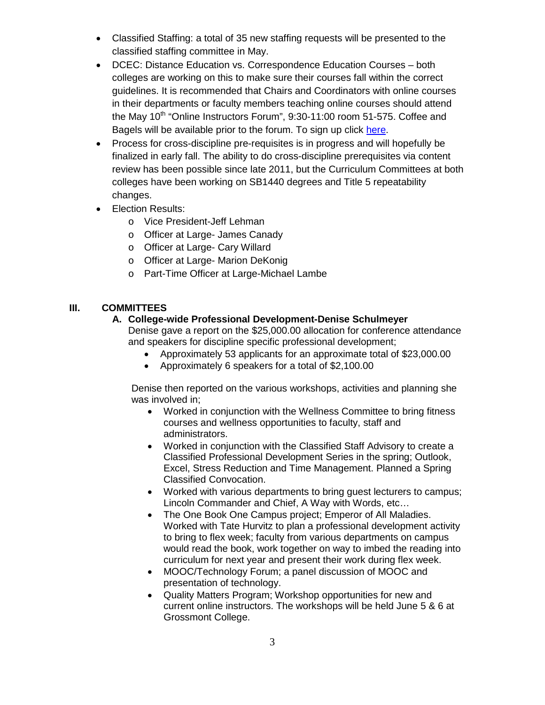- Classified Staffing: a total of 35 new staffing requests will be presented to the classified staffing committee in May.
- DCEC: Distance Education vs. Correspondence Education Courses both colleges are working on this to make sure their courses fall within the correct guidelines. It is recommended that Chairs and Coordinators with online courses in their departments or faculty members teaching online courses should attend the May 10<sup>th</sup> "Online Instructors Forum", 9:30-11:00 room 51-575. Coffee and Bagels will be available prior to the forum. To sign up click [here.](https://docs.google.com/forms/d/1mNOHBESQOJBX0OaRoaC09z_kig2II4sWI7o-DWRZjKU/viewform)
- Process for cross-discipline pre-requisites is in progress and will hopefully be finalized in early fall. The ability to do cross-discipline prerequisites via content review has been possible since late 2011, but the Curriculum Committees at both colleges have been working on SB1440 degrees and Title 5 repeatability changes.
- Election Results:
	- o Vice President-Jeff Lehman
	- o Officer at Large- James Canady
	- o Officer at Large- Cary Willard
	- o Officer at Large- Marion DeKonig
	- o Part-Time Officer at Large-Michael Lambe

## **III. COMMITTEES**

#### **A. College-wide Professional Development-Denise Schulmeyer**

Denise gave a report on the \$25,000.00 allocation for conference attendance and speakers for discipline specific professional development;

- Approximately 53 applicants for an approximate total of \$23,000.00
- Approximately 6 speakers for a total of \$2,100.00

Denise then reported on the various workshops, activities and planning she was involved in;

- Worked in conjunction with the Wellness Committee to bring fitness courses and wellness opportunities to faculty, staff and administrators.
- Worked in conjunction with the Classified Staff Advisory to create a Classified Professional Development Series in the spring; Outlook, Excel, Stress Reduction and Time Management. Planned a Spring Classified Convocation.
- Worked with various departments to bring guest lecturers to campus; Lincoln Commander and Chief, A Way with Words, etc…
- The One Book One Campus project; Emperor of All Maladies. Worked with Tate Hurvitz to plan a professional development activity to bring to flex week; faculty from various departments on campus would read the book, work together on way to imbed the reading into curriculum for next year and present their work during flex week.
- MOOC/Technology Forum; a panel discussion of MOOC and presentation of technology.
- Quality Matters Program; Workshop opportunities for new and current online instructors. The workshops will be held June 5 & 6 at Grossmont College.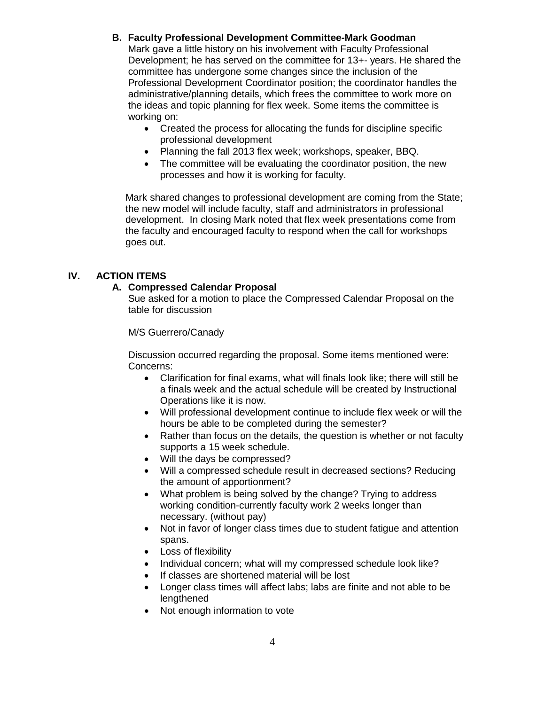#### **B. Faculty Professional Development Committee-Mark Goodman**

Mark gave a little history on his involvement with Faculty Professional Development; he has served on the committee for 13+- years. He shared the committee has undergone some changes since the inclusion of the Professional Development Coordinator position; the coordinator handles the administrative/planning details, which frees the committee to work more on the ideas and topic planning for flex week. Some items the committee is working on:

- Created the process for allocating the funds for discipline specific professional development
- Planning the fall 2013 flex week; workshops, speaker, BBQ.
- The committee will be evaluating the coordinator position, the new processes and how it is working for faculty.

Mark shared changes to professional development are coming from the State; the new model will include faculty, staff and administrators in professional development. In closing Mark noted that flex week presentations come from the faculty and encouraged faculty to respond when the call for workshops goes out.

#### **IV. ACTION ITEMS**

#### **A. Compressed Calendar Proposal**

Sue asked for a motion to place the Compressed Calendar Proposal on the table for discussion

M/S Guerrero/Canady

Discussion occurred regarding the proposal. Some items mentioned were: Concerns:

- Clarification for final exams, what will finals look like; there will still be a finals week and the actual schedule will be created by Instructional Operations like it is now.
- Will professional development continue to include flex week or will the hours be able to be completed during the semester?
- Rather than focus on the details, the question is whether or not faculty supports a 15 week schedule.
- Will the days be compressed?
- Will a compressed schedule result in decreased sections? Reducing the amount of apportionment?
- What problem is being solved by the change? Trying to address working condition-currently faculty work 2 weeks longer than necessary. (without pay)
- Not in favor of longer class times due to student fatigue and attention spans.
- Loss of flexibility
- Individual concern; what will my compressed schedule look like?
- If classes are shortened material will be lost
- Longer class times will affect labs; labs are finite and not able to be lengthened
- Not enough information to vote